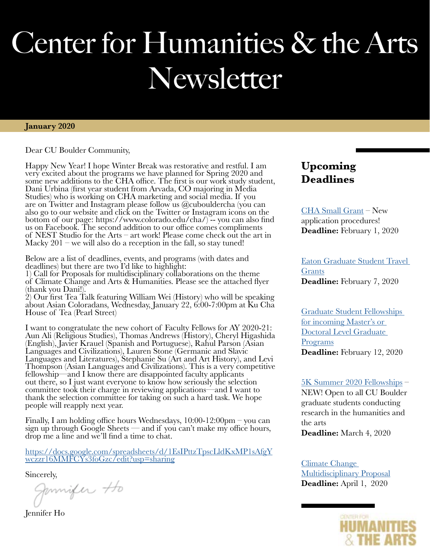# Center for Humanities & the Arts Newsletter

#### **January 2020**

Dear CU Boulder Community,

Happy New Year! I hope Winter Break was restorative and restful. I am very excited about the programs we have planned for Spring 2020 and some new additions to the CHA office. The first is our work study student, Dani Urbina (first year student from Arvada, CO majoring in Media Studies) who is working on CHA marketing and social media. If you are on Twitter and Instagram please follow us @cubouldercha (you can also go to our website and click on the Twitter or Instagram icons on the bottom of our page: https://www.colorado.edu/cha/) -- you can also find us on Facebook. The second addition to our office comes compliments of NEST Studio for the Arts – art work! Please come check out the art in Macky  $201$  – we will also do a reception in the fall, so stay tuned!

Below are a list of deadlines, events, and programs (with dates and deadlines) but there are two I'd like to highlight:

1) Call for Proposals for multidisciplinary collaborations on the theme of Climate Change and Arts & Humanities. Please see the attached flyer (thank you Dani!).

2) Our first Tea Talk featuring William Wei (History) who will be speaking about Asian Coloradans, Wednesday, January 22, 6:00-7:00pm at Ku Cha House of Tea (Pearl Street)

I want to congratulate the new cohort of Faculty Fellows for AY 2020-21: Aun Ali (Religious Studies), Thomas Andrews (History), Cheryl Higashida (English), Javier Krauel (Spanish and Portuguese), Rahul Parson (Asian Languages and Civilizations), Lauren Stone (Germanic and Slavic Languages and Literatures), Stephanie Su (Art and Art History), and Levi Thompson (Asian Languages and Civilizations). This is a very competitive fellowship—and I know there are disappointed faculty applicants out there, so I just want everyone to know how seriously the selection committee took their charge in reviewing applications—and I want to thank the selection committee for taking on such a hard task. We hope people will reapply next year.

Finally, I am holding office hours Wednesdays, 10:00-12:00pm – you can sign up through Google Sheets — and if you can't make my office hours, drop me a line and we'll find a time to chat.

[https://docs.google.com/spreadsheets/d/1EsIPttzTpscLldKxMP1sAfgY](https://docs.google.com/spreadsheets/d/1EsIPttzTpscLldKxMP1sAfgYwczzr16MMFCYs3foGzc/edit#gid=0) [wczzr16MMFCYs3foGzc/edit?usp=sharing](https://docs.google.com/spreadsheets/d/1EsIPttzTpscLldKxMP1sAfgYwczzr16MMFCYs3foGzc/edit#gid=0)

Sincerely,<br>Jumifer Ho

Jennifer Ho

### **Upcoming Deadlines**

[CHA Small Grant](https://www.colorado.edu/cha/opportunities/faculty-opportunities/cha-small-grants) – New application procedures! **Deadline:** February 1, 2020

[Eaton Graduate Student Travel](https://www.colorado.edu/cha/opportunities/graduate-student-opportunities/eaton-graduate-student-travel-awards)  [Grants](https://www.colorado.edu/cha/opportunities/graduate-student-opportunities/eaton-graduate-student-travel-awards) **Deadline:** February 7, 2020

[Graduate Student Fellowships](https://www.colorado.edu/cha/opportunities/graduate-student-opportunities/incoming-graduate-student-fellowships)  [for incoming Master's or](https://www.colorado.edu/cha/opportunities/graduate-student-opportunities/incoming-graduate-student-fellowships)  [Doctoral Level Graduate](https://www.colorado.edu/cha/opportunities/graduate-student-opportunities/incoming-graduate-student-fellowships)  [Programs](https://www.colorado.edu/cha/opportunities/graduate-student-opportunities/incoming-graduate-student-fellowships) **Deadline:** February 12, 2020

#### [5K Summer 2020 Fellowships](https://www.colorado.edu/cha/opportunities/graduate-student-opportunities/summer-fellowships) –

NEW! Open to all CU Boulder graduate students conducting research in the humanities and the arts **Deadline:** March 4, 2020

[Climate Change](https://www.colorado.edu/cha/opportunities/faculty-opportunities/climate-change-and-arts-humanities-proposal)  [Multidisciplinary Proposal](https://www.colorado.edu/cha/opportunities/faculty-opportunities/climate-change-and-arts-humanities-proposal) **Deadline:** April 1, 2020

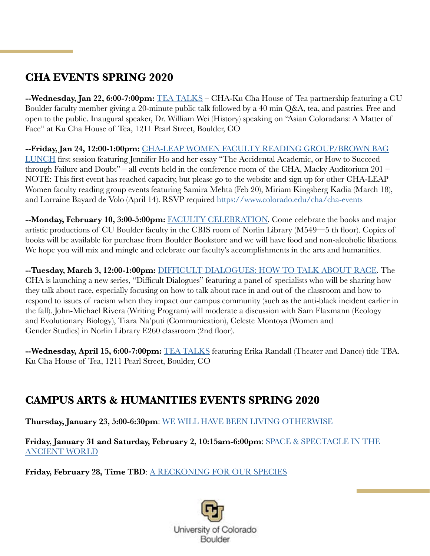### **CHA EVENTS SPRING 2020**

**--Wednesday, Jan 22, 6:00-7:00pm:** [TEA TALKS](https://www.colorado.edu/cha/cha-cha-sponsored-events/tea-talks) – CHA-Ku Cha House of Tea partnership featuring a CU Boulder faculty member giving a 20-minute public talk followed by a 40 min Q&A, tea, and pastries. Free and open to the public. Inaugural speaker, Dr. William Wei (History) speaking on "Asian Coloradans: A Matter of Face" at Ku Cha House of Tea, 1211 Pearl Street, Boulder, CO

**--Friday, Jan 24, 12:00-1:00pm:** [CHA-LEAP WOMEN FACULTY READING GROUP/BROWN BAG](https://www.colorado.edu/cha/cha-cha-sponsored-events/cha-leap-women-faculty-reading-group) LUNCH first session featuring Jennifer Ho and her essay "The Accidental Academic, or How to Succeed through Failure and Doubt" – all events held in the conference room of the CHA, Macky Auditorium 201 – NOTE: This first event has reached capacity, but please go to the website and sign up for other CHA-LEAP Women faculty reading group events featuring Samira Mehta (Feb 20), Miriam Kingsberg Kadia (March 18), and Lorraine Bayard de Volo (April 14). RSVP required [https://www.colorado.edu/cha/cha-events](https://www.colorado.edu/cha/spring-2020-upcoming-events)

**--Monday, February 10, 3:00-5:00pm:** [FACULTY CELEBRATION](https://www.colorado.edu/cha/cha-cha-sponsored-events/faculty-celebration-major-works). Come celebrate the books and major artistic productions of CU Boulder faculty in the CBIS room of Norlin Library (M549—5 th floor). Copies of books will be available for purchase from Boulder Bookstore and we will have food and non-alcoholic libations. We hope you will mix and mingle and celebrate our faculty's accomplishments in the arts and humanities.

**--Tuesday, March 3, 12:00-1:00pm:** [DIFFICULT DIALOGUES: HOW TO TALK ABOUT RACE.](https://www.colorado.edu/cha/cha-cha-sponsored-events/difficult-dialogues) The CHA is launching a new series, "Difficult Dialogues" featuring a panel of specialists who will be sharing how they talk about race, especially focusing on how to talk about race in and out of the classroom and how to respond to issues of racism when they impact our campus community (such as the anti-black incident earlier in the fall). John-Michael Rivera (Writing Program) will moderate a discussion with Sam Flaxmann (Ecology and Evolutionary Biology), Tiara Na'puti (Communication), Celeste Montoya (Women and Gender Studies) in Norlin Library E260 classroom (2nd floor).

**--Wednesday, April 15, 6:00-7:00pm:** [TEA TALKS](https://www.colorado.edu/cha/cha-cha-sponsored-events/tea-talks) featuring Erika Randall (Theater and Dance) title TBA. Ku Cha House of Tea, 1211 Pearl Street, Boulder, CO

#### **CAMPUS ARTS & HUMANITIES EVENTS SPRING 2020**

**Thursday, January 23, 5:00-6:30pm**: [WE WILL HAVE BEEN LIVING OTHERWISE](https://www.colorado.edu/cha/cha-cha-sponsored-events/we-will-have-been-living-otherwise)

**Friday, January 31 and Saturday, February 2, 10:15am-6:00pm**: [SPACE & SPECTACLE IN THE](https://www.colorado.edu/cha/cha-cha-sponsored-events/space-spectacle-ancient-world)  [ANCIENT WORLD](https://www.colorado.edu/cha/cha-cha-sponsored-events/space-spectacle-ancient-world)

Friday, February 28, Time TBD: [A RECKONING FOR OUR SPECIES](https://www.colorado.edu/cha/cha-cha-sponsored-events/tim-morton-talk-reckoning-our-species)

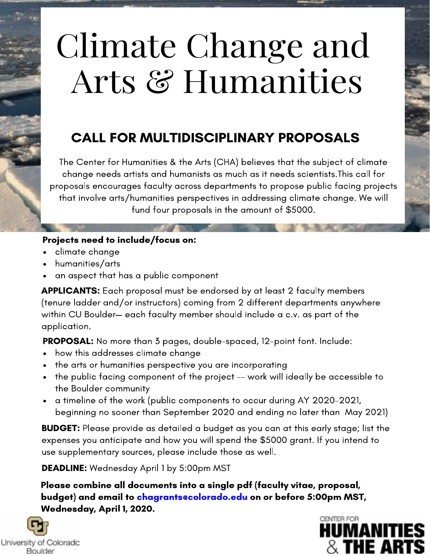# Climate Change and Arts & Humanities

## CALL FOR MULTIDISCIPLINARY PROPOSALS

The Center for Humanities & the Arts (CHA) believes that the subject of climate change needs artists and humanists as much as it needs scientists.This call for proposals encourages faculty across departments to propose public facing projects that involve arts/humanities perspectives in addressing climate change. We will fund four proposals in the amount of \$5000.

#### Projects need to include/focus on:

- climate change
- humanities/arts  $\bullet$
- an aspect that has a public component

APPLICANTS: Each proposal must be endorsed by at least 2 faculty members (tenure ladder and/or instructors) coming from 2 different departments anywhere within CU Boulder— each faculty member should include a c.v. as part of the application.

PROPOSAL: No more than 3 pages, double-spaced, 12-point font. Include:

- how this addresses climate change
- the arts or humanities perspective you are incorporating
- the public facing component of the project -- work will ideally be accessible to the Boulder community
- a timeline of the work (public components to occur during AY 2020-2021, beginning no sooner than September 2020 and ending no later than May 2021)

**BUDGET:** Please provide as detailed a budget as you can at this early stage; list the expenses you anticipate and how you will spend the \$5000 grant. If you intend to use supplementary sources, please include those as well.

DEADLINE: Wednesday April 1 by 5:00pm MST

Please combine all documents into a single pdf (faculty vitae, proposal, budget) and email to chagrants@colorado.edu on or before 5:00pm MST, Wednesday, April 1, 2020.